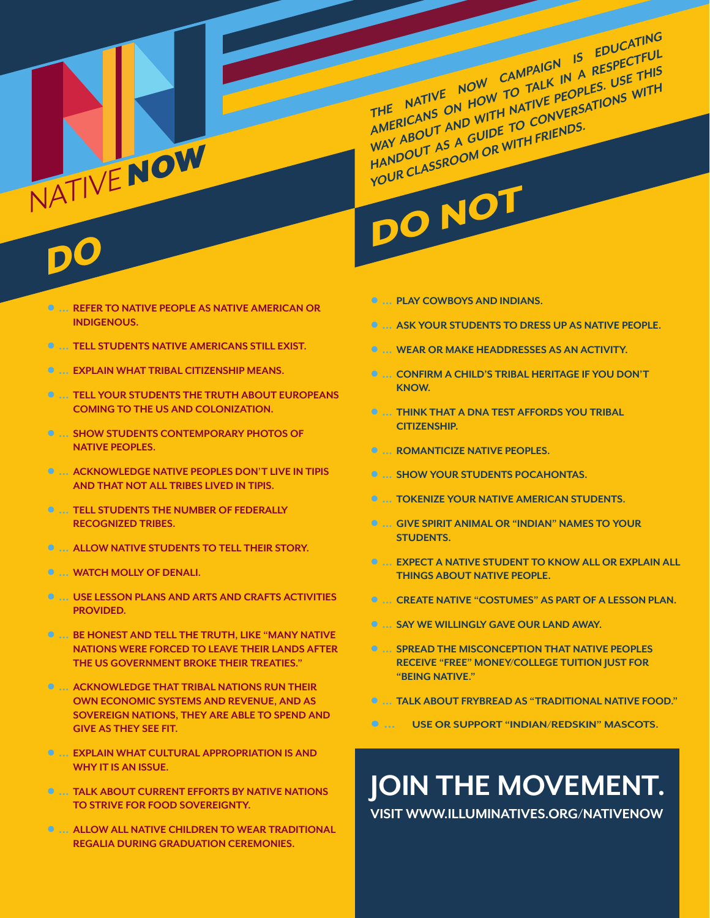**THE NATIVE NOW CAMPAIGN IS EDUCATING**  AMERICANS ON HOW TO TALK IN A RESPECTFUL WAY ABOUT AND WITH NATIVE PEOPLES. USE THIS **HANDOUT AS A GUIDE TO CONVERSATIONS WITH YOUR CLASSROOM OR WITH FRIENDS.**

# DO NOT

## DO

NATIVE

- **●  ... REFER TO NATIVE PEOPLE AS NATIVE AMERICAN OR INDIGENOUS.**
- **●  ... TELL STUDENTS NATIVE AMERICANS STILL EXIST.**
- **●  ... EXPLAIN WHAT TRIBAL CITIZENSHIP MEANS.**

NOW

- **●  ... TELL YOUR STUDENTS THE TRUTH ABOUT EUROPEANS COMING TO THE US AND COLONIZATION.**
- **●  ... SHOW STUDENTS CONTEMPORARY PHOTOS OF NATIVE PEOPLES.**
- **●  ... ACKNOWLEDGE NATIVE PEOPLES DON'T LIVE IN TIPIS AND THAT NOT ALL TRIBES LIVED IN TIPIS.**
- **●  ... TELL STUDENTS THE NUMBER OF FEDERALLY RECOGNIZED TRIBES.**
- **●  ... ALLOW NATIVE STUDENTS TO TELL THEIR STORY.**
- **●  ... WATCH MOLLY OF DENALI.**
- **●  ... USE LESSON PLANS AND ARTS AND CRAFTS ACTIVITIES PROVIDED.**
- **●  ... BE HONEST AND TELL THE TRUTH, LIKE "MANY NATIVE NATIONS WERE FORCED TO LEAVE THEIR LANDS AFTER THE US GOVERNMENT BROKE THEIR TREATIES."**
- **●  ... ACKNOWLEDGE THAT TRIBAL NATIONS RUN THEIR OWN ECONOMIC SYSTEMS AND REVENUE, AND AS SOVEREIGN NATIONS, THEY ARE ABLE TO SPEND AND GIVE AS THEY SEE FIT.**
- **●  ... EXPLAIN WHAT CULTURAL APPROPRIATION IS AND WHY IT IS AN ISSUE.**
- **●  ... TALK ABOUT CURRENT EFFORTS BY NATIVE NATIONS TO STRIVE FOR FOOD SOVEREIGNTY.**
- **●  ... ALLOW ALL NATIVE CHILDREN TO WEAR TRADITIONAL REGALIA DURING GRADUATION CEREMONIES.**
- **●  ... PLAY COWBOYS AND INDIANS.**
- **●  ... ASK YOUR STUDENTS TO DRESS UP AS NATIVE PEOPLE.**
- **●  ... WEAR OR MAKE HEADDRESSES AS AN ACTIVITY.**
- **●  ... CONFIRM A CHILD'S TRIBAL HERITAGE IF YOU DON'T KNOW.**
- **●  ... THINK THAT A DNA TEST AFFORDS YOU TRIBAL CITIZENSHIP.**
- **●  ... ROMANTICIZE NATIVE PEOPLES.**
- **●  ... SHOW YOUR STUDENTS POCAHONTAS.**
- **●  ... TOKENIZE YOUR NATIVE AMERICAN STUDENTS.**
- **●  ... GIVE SPIRIT ANIMAL OR "INDIAN" NAMES TO YOUR STUDENTS.**
- **●  ... EXPECT A NATIVE STUDENT TO KNOW ALL OR EXPLAIN ALL THINGS ABOUT NATIVE PEOPLE.**
- **●  ... CREATE NATIVE "COSTUMES" AS PART OF A LESSON PLAN.**
- **●  ... SAY WE WILLINGLY GAVE OUR LAND AWAY.**
- **●  ... SPREAD THE MISCONCEPTION THAT NATIVE PEOPLES RECEIVE "FREE" MONEY/COLLEGE TUITION JUST FOR "BEING NATIVE."**
- **●  ... TALK ABOUT FRYBREAD AS "TRADITIONAL NATIVE FOOD."**
- **●  ... USE OR SUPPORT "INDIAN/REDSKIN" MASCOTS.**

### **JOIN THE MOVEMENT.**

**VISIT WWW.ILLUMINATIVES.ORG/NATIVENOW**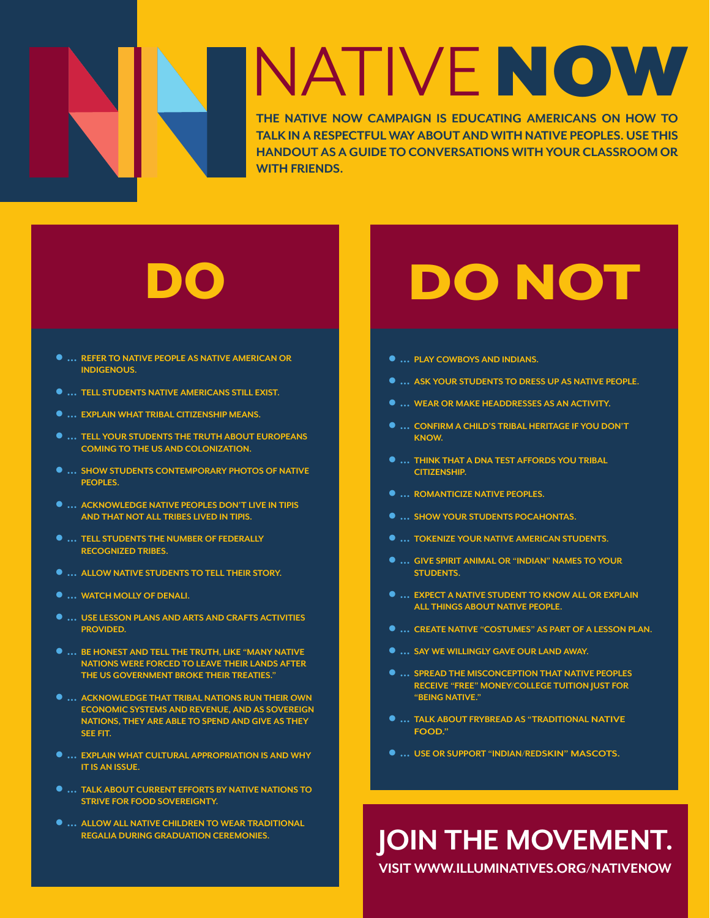# NATIVE NOW

**THE NATIVE NOW CAMPAIGN IS EDUCATING AMERICANS ON HOW TO TALK IN A RESPECTFUL WAY ABOUT AND WITH NATIVE PEOPLES. USE THIS HANDOUT AS A GUIDE TO CONVERSATIONS WITH YOUR CLASSROOM OR WITH FRIENDS.**

- **●  ... REFER TO NATIVE PEOPLE AS NATIVE AMERICAN OR INDIGENOUS.**
- **●  ... TELL STUDENTS NATIVE AMERICANS STILL EXIST.**
- **●  ... EXPLAIN WHAT TRIBAL CITIZENSHIP MEANS.**
- **●  ... TELL YOUR STUDENTS THE TRUTH ABOUT EUROPEANS COMING TO THE US AND COLONIZATION.**
- **●  ... SHOW STUDENTS CONTEMPORARY PHOTOS OF NATIVE PEOPLES.**
- **●  ... ACKNOWLEDGE NATIVE PEOPLES DON'T LIVE IN TIPIS AND THAT NOT ALL TRIBES LIVED IN TIPIS.**
- **●  ... TELL STUDENTS THE NUMBER OF FEDERALLY RECOGNIZED TRIBES.**
- **●  ... ALLOW NATIVE STUDENTS TO TELL THEIR STORY.**
- **●  ... WATCH MOLLY OF DENALI.**
- **●  ... USE LESSON PLANS AND ARTS AND CRAFTS ACTIVITIES PROVIDED.**
- **●  ... BE HONEST AND TELL THE TRUTH, LIKE "MANY NATIVE NATIONS WERE FORCED TO LEAVE THEIR LANDS AFTER THE US GOVERNMENT BROKE THEIR TREATIES."**
- **●  ... ACKNOWLEDGE THAT TRIBAL NATIONS RUN THEIR OWN ECONOMIC SYSTEMS AND REVENUE, AND AS SOVEREIGN NATIONS, THEY ARE ABLE TO SPEND AND GIVE AS THEY SEE FIT.**
- **●  ... EXPLAIN WHAT CULTURAL APPROPRIATION IS AND WHY IT IS AN ISSUE.**
- **●  ... TALK ABOUT CURRENT EFFORTS BY NATIVE NATIONS TO STRIVE FOR FOOD SOVEREIGNTY.**
- **●  ... ALLOW ALL NATIVE CHILDREN TO WEAR TRADITIONAL REGALIA DURING GRADUATION CEREMONIES.**

## DO DO NOT

- **●  ... PLAY COWBOYS AND INDIANS.**
- **●  ... ASK YOUR STUDENTS TO DRESS UP AS NATIVE PEOPLE.**
- **●  ... WEAR OR MAKE HEADDRESSES AS AN ACTIVITY.**
- **●  ... CONFIRM A CHILD'S TRIBAL HERITAGE IF YOU DON'T KNOW.**
- **●  ... THINK THAT A DNA TEST AFFORDS YOU TRIBAL CITIZENSHIP.**
- **●  ... ROMANTICIZE NATIVE PEOPLES.**
- **●  ... SHOW YOUR STUDENTS POCAHONTAS.**
- **●  ... TOKENIZE YOUR NATIVE AMERICAN STUDENTS.**
- **●  ... GIVE SPIRIT ANIMAL OR "INDIAN" NAMES TO YOUR STUDENTS.**
- **●  ... EXPECT A NATIVE STUDENT TO KNOW ALL OR EXPLAIN ALL THINGS ABOUT NATIVE PEOPLE.**
- **●  ... CREATE NATIVE "COSTUMES" AS PART OF A LESSON PLAN.**
- **●  ... SAY WE WILLINGLY GAVE OUR LAND AWAY.**
- **●  ... SPREAD THE MISCONCEPTION THAT NATIVE PEOPLES RECEIVE "FREE" MONEY/COLLEGE TUITION JUST FOR "BEING NATIVE."**
- **●  ... TALK ABOUT FRYBREAD AS "TRADITIONAL NATIVE FOOD."**
- **●  ... USE OR SUPPORT "INDIAN/REDSKIN" MASCOTS.**

## **JOIN THE MOVEMENT.**

**VISIT WWW.ILLUMINATIVES.ORG/NATIVENOW**